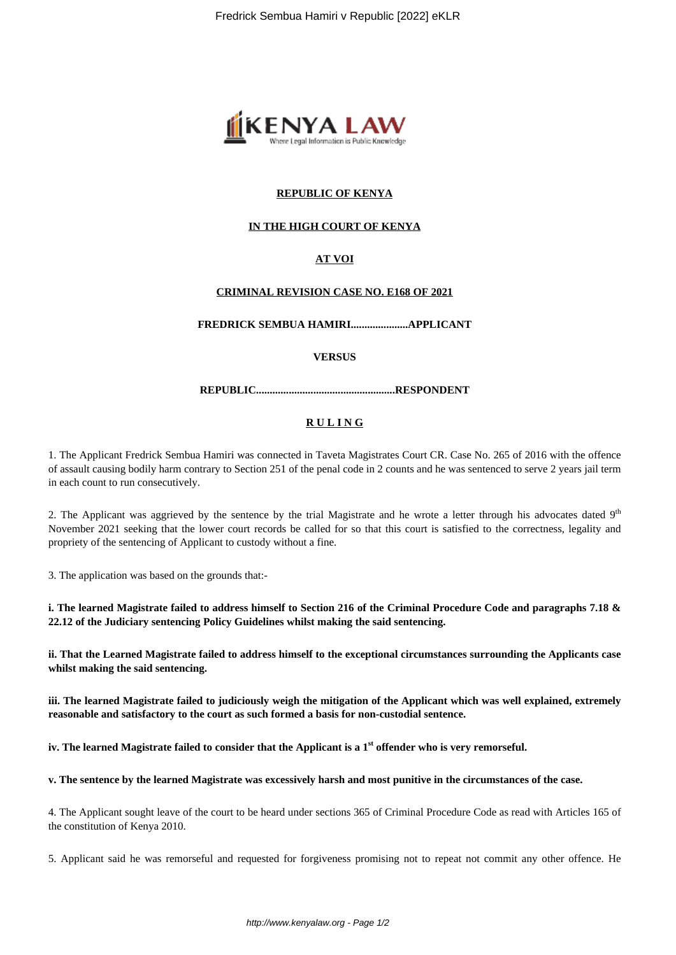

# **REPUBLIC OF KENYA**

# **IN THE HIGH COURT OF KENYA**

# **AT VOI**

# **CRIMINAL REVISION CASE NO. E168 OF 2021**

**FREDRICK SEMBUA HAMIRI.....................APPLICANT**

#### **VERSUS**

**REPUBLIC...................................................RESPONDENT**

# **R U L I N G**

1. The Applicant Fredrick Sembua Hamiri was connected in Taveta Magistrates Court CR. Case No. 265 of 2016 with the offence of assault causing bodily harm contrary to Section 251 of the penal code in 2 counts and he was sentenced to serve 2 years jail term in each count to run consecutively.

2. The Applicant was aggrieved by the sentence by the trial Magistrate and he wrote a letter through his advocates dated  $9<sup>th</sup>$ November 2021 seeking that the lower court records be called for so that this court is satisfied to the correctness, legality and propriety of the sentencing of Applicant to custody without a fine.

3. The application was based on the grounds that:-

**i. The learned Magistrate failed to address himself to Section 216 of the Criminal Procedure Code and paragraphs 7.18 & 22.12 of the Judiciary sentencing Policy Guidelines whilst making the said sentencing.**

**ii. That the Learned Magistrate failed to address himself to the exceptional circumstances surrounding the Applicants case whilst making the said sentencing.**

**iii. The learned Magistrate failed to judiciously weigh the mitigation of the Applicant which was well explained, extremely reasonable and satisfactory to the court as such formed a basis for non-custodial sentence.**

**iv. The learned Magistrate failed to consider that the Applicant is a 1st offender who is very remorseful.**

**v. The sentence by the learned Magistrate was excessively harsh and most punitive in the circumstances of the case.**

4. The Applicant sought leave of the court to be heard under sections 365 of Criminal Procedure Code as read with Articles 165 of the constitution of Kenya 2010.

5. Applicant said he was remorseful and requested for forgiveness promising not to repeat not commit any other offence. He